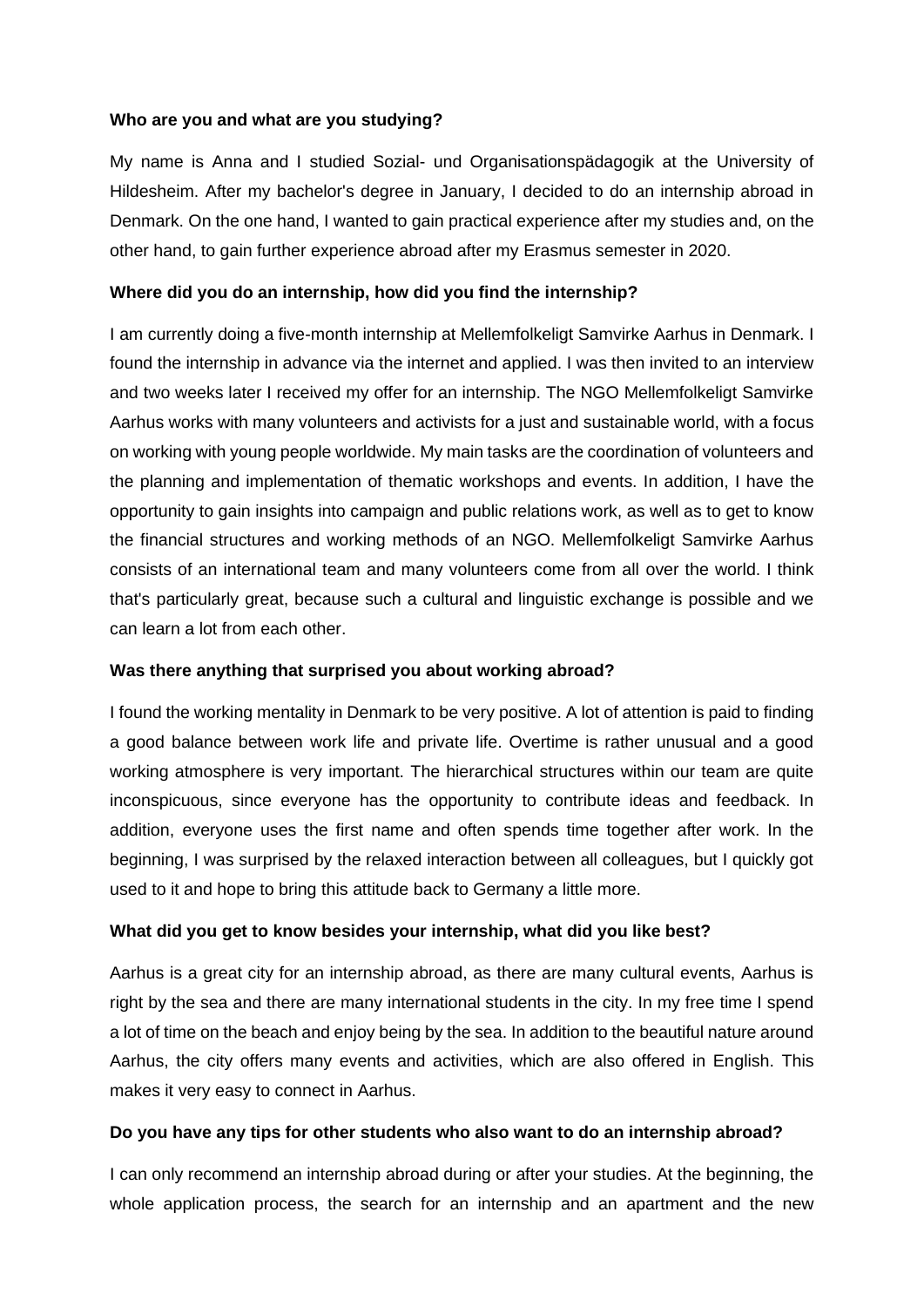### **Who are you and what are you studying?**

My name is Anna and I studied Sozial- und Organisationspädagogik at the University of Hildesheim. After my bachelor's degree in January, I decided to do an internship abroad in Denmark. On the one hand, I wanted to gain practical experience after my studies and, on the other hand, to gain further experience abroad after my Erasmus semester in 2020.

# **Where did you do an internship, how did you find the internship?**

I am currently doing a five-month internship at Mellemfolkeligt Samvirke Aarhus in Denmark. I found the internship in advance via the internet and applied. I was then invited to an interview and two weeks later I received my offer for an internship. The NGO Mellemfolkeligt Samvirke Aarhus works with many volunteers and activists for a just and sustainable world, with a focus on working with young people worldwide. My main tasks are the coordination of volunteers and the planning and implementation of thematic workshops and events. In addition, I have the opportunity to gain insights into campaign and public relations work, as well as to get to know the financial structures and working methods of an NGO. Mellemfolkeligt Samvirke Aarhus consists of an international team and many volunteers come from all over the world. I think that's particularly great, because such a cultural and linguistic exchange is possible and we can learn a lot from each other.

# **Was there anything that surprised you about working abroad?**

I found the working mentality in Denmark to be very positive. A lot of attention is paid to finding a good balance between work life and private life. Overtime is rather unusual and a good working atmosphere is very important. The hierarchical structures within our team are quite inconspicuous, since everyone has the opportunity to contribute ideas and feedback. In addition, everyone uses the first name and often spends time together after work. In the beginning, I was surprised by the relaxed interaction between all colleagues, but I quickly got used to it and hope to bring this attitude back to Germany a little more.

### **What did you get to know besides your internship, what did you like best?**

Aarhus is a great city for an internship abroad, as there are many cultural events, Aarhus is right by the sea and there are many international students in the city. In my free time I spend a lot of time on the beach and enjoy being by the sea. In addition to the beautiful nature around Aarhus, the city offers many events and activities, which are also offered in English. This makes it very easy to connect in Aarhus.

# **Do you have any tips for other students who also want to do an internship abroad?**

I can only recommend an internship abroad during or after your studies. At the beginning, the whole application process, the search for an internship and an apartment and the new